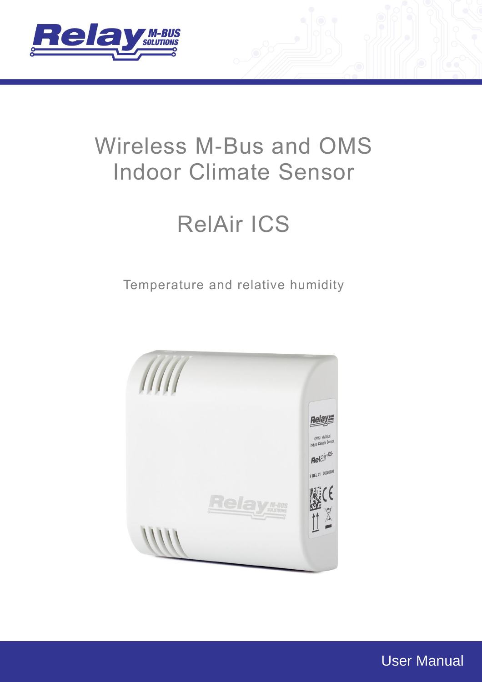

# Wireless M-Bus and OMS Indoor Climate Sensor

# RelAir ICS

Temperature and relative humidity



User Manual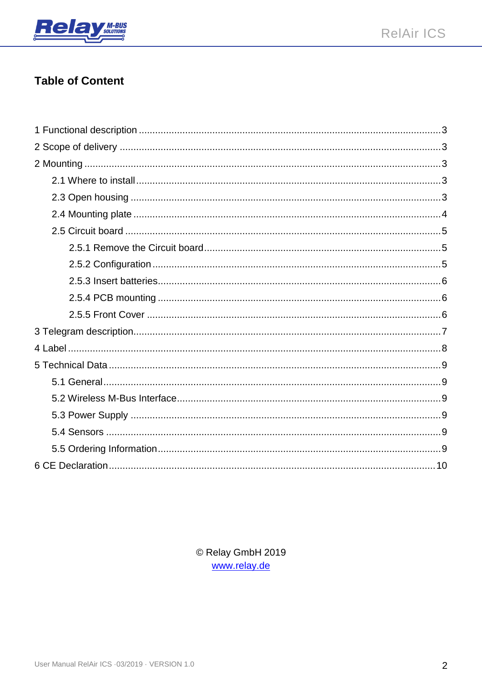

### **Table of Content**

© Relay GmbH 2019 www.relay.de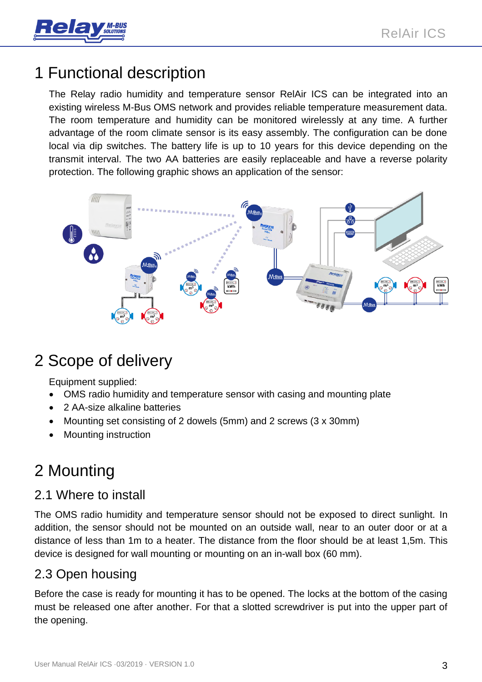

## <span id="page-2-0"></span>1 Functional description

The Relay radio humidity and temperature sensor RelAir ICS can be integrated into an existing wireless M-Bus OMS network and provides reliable temperature measurement data. The room temperature and humidity can be monitored wirelessly at any time. A further advantage of the room climate sensor is its easy assembly. The configuration can be done local via dip switches. The battery life is up to 10 years for this device depending on the transmit interval. The two AA batteries are easily replaceable and have a reverse polarity protection. The following graphic shows an application of the sensor:



## <span id="page-2-1"></span>2 Scope of delivery

Equipment supplied:

- OMS radio humidity and temperature sensor with casing and mounting plate
- 2 AA-size alkaline batteries
- Mounting set consisting of 2 dowels (5mm) and 2 screws (3 x 30mm)
- Mounting instruction

## <span id="page-2-2"></span>2 Mounting

#### <span id="page-2-3"></span>2.1 Where to install

The OMS radio humidity and temperature sensor should not be exposed to direct sunlight. In addition, the sensor should not be mounted on an outside wall, near to an outer door or at a distance of less than 1m to a heater. The distance from the floor should be at least 1,5m. This device is designed for wall mounting or mounting on an in-wall box (60 mm).

### <span id="page-2-4"></span>2.3 Open housing

Before the case is ready for mounting it has to be opened. The locks at the bottom of the casing must be released one after another. For that a slotted screwdriver is put into the upper part of the opening.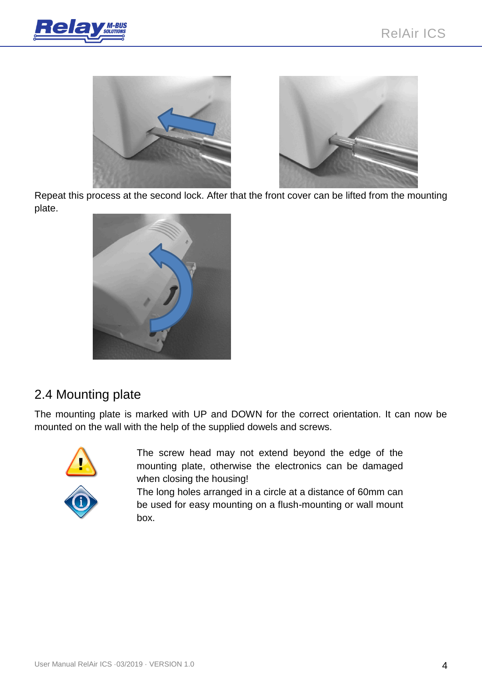



Repeat this process at the second lock. After that the front cover can be lifted from the mounting plate.



### <span id="page-3-0"></span>2.4 Mounting plate

The mounting plate is marked with UP and DOWN for the correct orientation. It can now be mounted on the wall with the help of the supplied dowels and screws.



The screw head may not extend beyond the edge of the mounting plate, otherwise the electronics can be damaged when closing the housing!

The long holes arranged in a circle at a distance of 60mm can be used for easy mounting on a flush-mounting or wall mount box.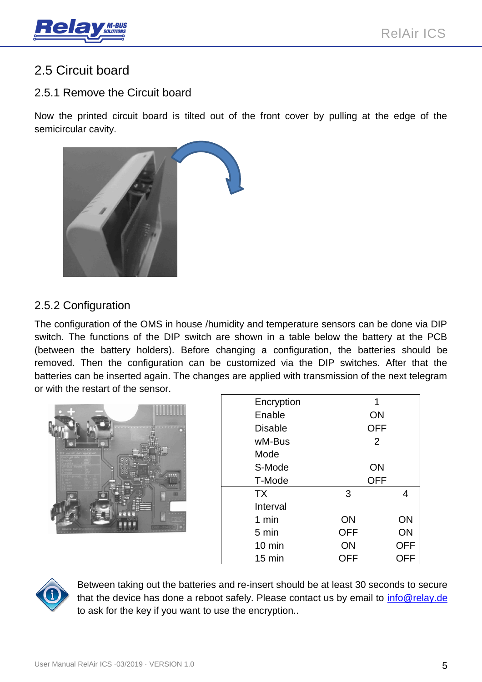

### <span id="page-4-0"></span>2.5 Circuit board

#### <span id="page-4-1"></span>2.5.1 Remove the Circuit board

Now the printed circuit board is tilted out of the front cover by pulling at the edge of the semicircular cavity.



#### <span id="page-4-2"></span>2.5.2 Configuration

The configuration of the OMS in house /humidity and temperature sensors can be done via DIP switch. The functions of the DIP switch are shown in a table below the battery at the PCB (between the battery holders). Before changing a configuration, the batteries should be removed. Then the configuration can be customized via the DIP switches. After that the batteries can be inserted again. The changes are applied with transmission of the next telegram or with the restart of the sensor.



| Encryption       | 1              |            |
|------------------|----------------|------------|
| Enable           | ON             |            |
| <b>Disable</b>   | <b>OFF</b>     |            |
| wM-Bus           | $\overline{2}$ |            |
| Mode             |                |            |
| S-Mode           | ON             |            |
| T-Mode           | <b>OFF</b>     |            |
| <b>TX</b>        | 3              | 4          |
| Interval         |                |            |
| 1 min            | ON             | ON         |
| 5 min            | <b>OFF</b>     | ON         |
| $10 \text{ min}$ | ON             | <b>OFF</b> |
| 15 min           | OFF            | OFF        |



Between taking out the batteries and re-insert should be at least 30 seconds to secure that the device has done a reboot safely. Please contact us by email to info@relay.de to ask for the key if you want to use the encryption..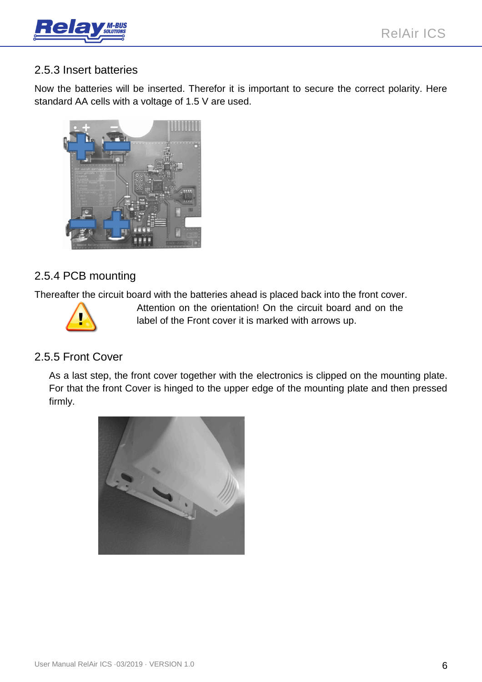

#### <span id="page-5-0"></span>2.5.3 Insert batteries

Now the batteries will be inserted. Therefor it is important to secure the correct polarity. Here standard AA cells with a voltage of 1.5 V are used.



#### <span id="page-5-1"></span>2.5.4 PCB mounting

Thereafter the circuit board with the batteries ahead is placed back into the front cover.



Attention on the orientation! On the circuit board and on the label of the Front cover it is marked with arrows up.

#### <span id="page-5-2"></span>2.5.5 Front Cover

As a last step, the front cover together with the electronics is clipped on the mounting plate. For that the front Cover is hinged to the upper edge of the mounting plate and then pressed firmly.

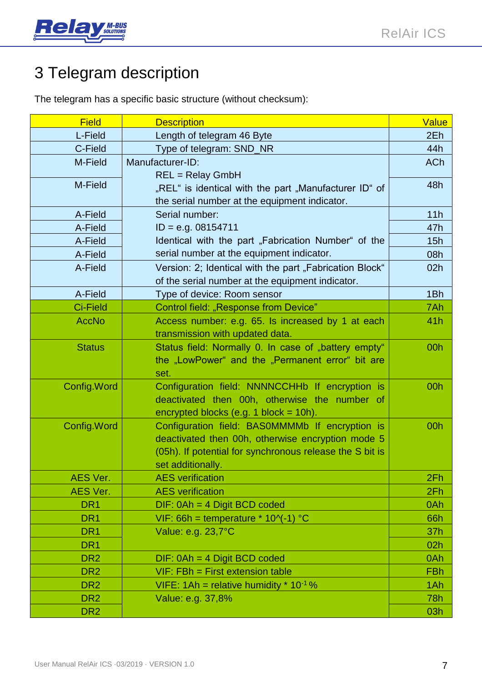

## <span id="page-6-0"></span>3 Telegram description

The telegram has a specific basic structure (without checksum):

| <b>Field</b>    | <b>Description</b>                                       | Value      |
|-----------------|----------------------------------------------------------|------------|
| L-Field         | Length of telegram 46 Byte                               | 2Eh        |
| C-Field         | Type of telegram: SND_NR                                 | 44h        |
| M-Field         | Manufacturer-ID:                                         | <b>ACh</b> |
|                 | $REL = Relay GmbH$                                       |            |
| M-Field         | "REL" is identical with the part "Manufacturer ID" of    | 48h        |
|                 | the serial number at the equipment indicator.            |            |
| A-Field         | Serial number:                                           | 11h        |
| A-Field         | $ID = e.g. 08154711$                                     | 47h        |
| A-Field         | Identical with the part "Fabrication Number" of the      | 15h        |
| A-Field         | serial number at the equipment indicator.                | 08h        |
| A-Field         | Version: 2; Identical with the part "Fabrication Block"  | 02h        |
|                 | of the serial number at the equipment indicator.         |            |
| A-Field         | Type of device: Room sensor                              | 1Bh        |
| <b>Ci-Field</b> | Control field: "Response from Device"                    | 7Ah        |
| <b>AccNo</b>    | Access number: e.g. 65. Is increased by 1 at each        | 41h        |
|                 | transmission with updated data.                          |            |
| <b>Status</b>   | Status field: Normally 0. In case of "battery empty"     | 00h        |
|                 | the "LowPower" and the "Permanent error" bit are         |            |
|                 | set.                                                     |            |
| Config. Word    | Configuration field: NNNNCCHHb If encryption is          | 00h        |
|                 | deactivated then 00h, otherwise the number of            |            |
|                 | encrypted blocks (e.g. 1 block = $10h$ ).                |            |
| Config. Word    | Configuration field: BAS0MMMMb If encryption is          | 00h        |
|                 | deactivated then 00h, otherwise encryption mode 5        |            |
|                 | (05h). If potential for synchronous release the S bit is |            |
|                 | set additionally.                                        |            |
| <b>AES Ver.</b> | <b>AES</b> verification                                  | 2Fh        |
| AES Ver.        | <b>AES</b> verification                                  | 2Fh        |
| DR <sub>1</sub> | DIF: 0Ah = 4 Digit BCD coded                             | 0Ah        |
| DR <sub>1</sub> | VIF: 66h = temperature * $10^{-1}$ °C                    | 66h        |
| DR <sub>1</sub> | Value: e.g. 23,7°C                                       | 37h        |
| DR <sub>1</sub> |                                                          | 02h        |
| DR <sub>2</sub> | $DIF: OAh = 4 Digit BCD coded$                           | 0Ah        |
| DR <sub>2</sub> | $VIF: FBh = First extension table$                       | <b>FBh</b> |
| DR <sub>2</sub> | VIFE: $1Ah =$ relative humidity $* 10^{-1}$ %            | 1Ah        |
| DR <sub>2</sub> | Value: e.g. 37,8%                                        | 78h        |
| DR <sub>2</sub> |                                                          | 03h        |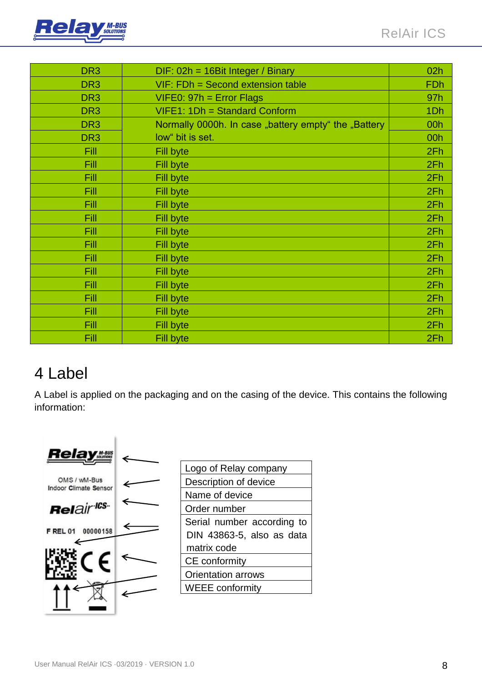

| DR <sub>3</sub> | $DIF: 02h = 16Bit Integer / Binary$                  | 02h             |
|-----------------|------------------------------------------------------|-----------------|
| DR <sub>3</sub> | $VIF: FDh = Second extension table$                  | <b>FDh</b>      |
| DR <sub>3</sub> | $V$ IFE0: 97h = Error Flags                          | 97h             |
| DR <sub>3</sub> | VIFE1: 1Dh = Standard Conform                        | 1 <sub>Dh</sub> |
| DR <sub>3</sub> | Normally 0000h. In case "battery empty" the "Battery | 00h             |
| DR <sub>3</sub> | low" bit is set.                                     | 00h             |
| Fill            | Fill byte                                            | 2Fh             |
| Fill            | <b>Fill byte</b>                                     | 2Fh             |
| Fill            | <b>Fill byte</b>                                     | 2Fh             |
| Fill            | <b>Fill byte</b>                                     | 2Fh             |
| Fill            | Fill byte                                            | 2Fh             |
| Fill            | <b>Fill byte</b>                                     | 2Fh             |
| Fill            | Fill byte                                            | 2Fh             |
| Fill            | Fill byte                                            | 2Fh             |
| Fill            | Fill byte                                            | 2Fh             |
| Fill            | <b>Fill byte</b>                                     | 2Fh             |
| Fill            | <b>Fill byte</b>                                     | 2Fh             |
| Fill            | Fill byte                                            | 2Fh             |
| Fill            | <b>Fill byte</b>                                     | 2Fh             |
| Fill            | Fill byte                                            | 2Fh             |
| Fill            | Fill byte                                            | 2Fh             |

## <span id="page-7-0"></span>4 Label

A Label is applied on the packaging and on the casing of the device. This contains the following information:

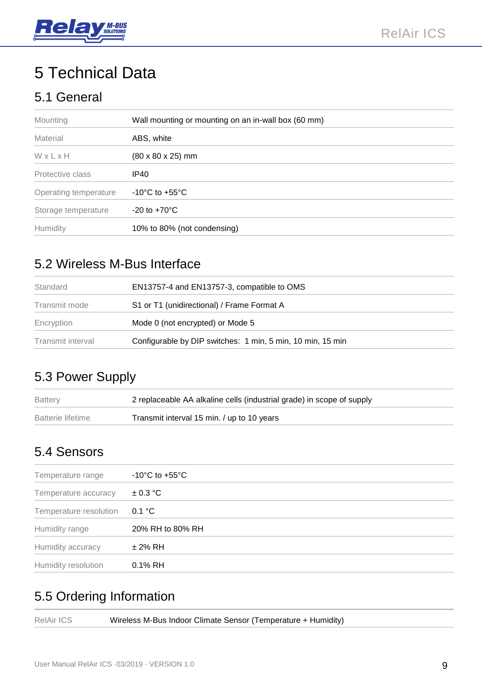

## <span id="page-8-0"></span>5 Technical Data

### <span id="page-8-1"></span>5.1 General

| Mounting              | Wall mounting or mounting on an in-wall box (60 mm) |  |
|-----------------------|-----------------------------------------------------|--|
| Material              | ABS, white                                          |  |
| WxLxH                 | $(80 \times 80 \times 25)$ mm                       |  |
| Protective class      | IP <sub>40</sub>                                    |  |
| Operating temperature | $-10^{\circ}$ C to $+55^{\circ}$ C                  |  |
| Storage temperature   | $-20$ to $+70^{\circ}$ C                            |  |
| Humidity              | 10% to 80% (not condensing)                         |  |

### <span id="page-8-2"></span>5.2 Wireless M-Bus Interface

| Standard          | EN13757-4 and EN13757-3, compatible to OMS                 |  |
|-------------------|------------------------------------------------------------|--|
| Transmit mode     | S1 or T1 (unidirectional) / Frame Format A                 |  |
| Encryption        | Mode 0 (not encrypted) or Mode 5                           |  |
| Transmit interval | Configurable by DIP switches: 1 min, 5 min, 10 min, 15 min |  |
|                   |                                                            |  |

### <span id="page-8-3"></span>5.3 Power Supply

| <b>Battery</b>    | 2 replaceable AA alkaline cells (industrial grade) in scope of supply |
|-------------------|-----------------------------------------------------------------------|
| Batterie lifetime | Transmit interval 15 min. / up to 10 years                            |

## <span id="page-8-4"></span>5.4 Sensors

| Temperature range      | -10 $^{\circ}$ C to +55 $^{\circ}$ C |
|------------------------|--------------------------------------|
| Temperature accuracy   | $\pm$ 0.3 °C                         |
| Temperature resolution | 0.1 °C                               |
| Humidity range         | 20% RH to 80% RH                     |
| Humidity accuracy      | ± 2% RH                              |
| Humidity resolution    | 0.1% RH                              |

## <span id="page-8-5"></span>5.5 Ordering Information

| RelAir ICS<br>Wireless M-Bus Indoor Climate Sensor (Temperature + Humidity) |  |
|-----------------------------------------------------------------------------|--|
|-----------------------------------------------------------------------------|--|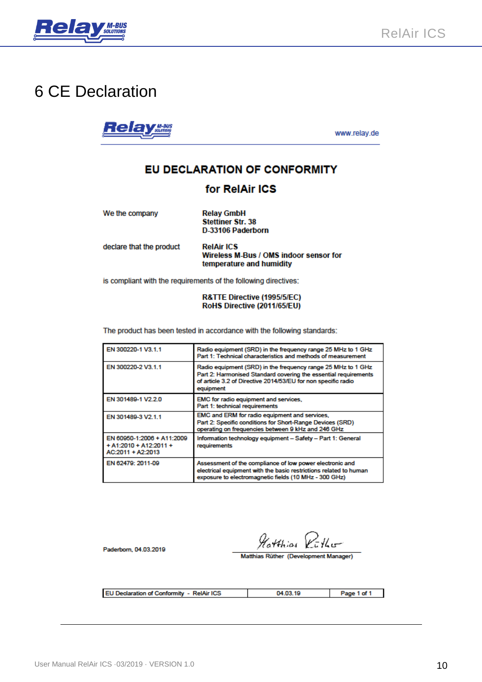

## <span id="page-9-0"></span>**6 CE Declaration**

**Relay Many** 

www.relay.de

#### EU DECLARATION OF CONFORMITY

#### for RelAir ICS

| We the company           | <b>Relay GmbH</b><br><b>Stettiner Str. 38</b><br>D-33106 Paderborn                      |
|--------------------------|-----------------------------------------------------------------------------------------|
| declare that the product | <b>RelAir ICS</b><br>Wireless M-Bus / OMS indoor sensor for<br>temperature and humidity |

is compliant with the requirements of the following directives:

#### R&TTE Directive (1995/5/EC) RoHS Directive (2011/65/EU)

The product has been tested in accordance with the following standards:

| EN 300220-1 V3.1.1                                                          | Radio equipment (SRD) in the frequency range 25 MHz to 1 GHz<br>Part 1: Technical characteristics and methods of measurement                                                                                  |
|-----------------------------------------------------------------------------|---------------------------------------------------------------------------------------------------------------------------------------------------------------------------------------------------------------|
| EN 300220-2 V3.1.1                                                          | Radio equipment (SRD) in the frequency range 25 MHz to 1 GHz<br>Part 2: Harmonised Standard covering the essential requirements<br>of article 3.2 of Directive 2014/53/EU for non specific radio<br>equipment |
| EN 301489-1 V2.2.0                                                          | EMC for radio equipment and services,<br>Part 1: technical requirements                                                                                                                                       |
| EN 301489-3 V2.1.1                                                          | EMC and ERM for radio equipment and services,<br>Part 2: Specific conditions for Short-Range Devices (SRD)<br>operating on frequencies between 9 kHz and 246 GHz                                              |
| EN 60950-1:2006 + A11:2009<br>$+$ A1:2010 + A12:2011 +<br>AC:2011 + A2:2013 | Information technology equipment - Safety - Part 1: General<br>requirements                                                                                                                                   |
| EN 62479: 2011-09                                                           | Assessment of the compliance of low power electronic and<br>electrical equipment with the basic restrictions related to human<br>exposure to electromagnetic fields (10 MHz - 300 GHz)                        |

Paderborn, 04.03.2019

Hatthias Ruther

Matthias Rüther (Development Manager)

EU Declaration of Conformity - RelAir ICS

04.03.19

Page 1 of 1  $\blacksquare$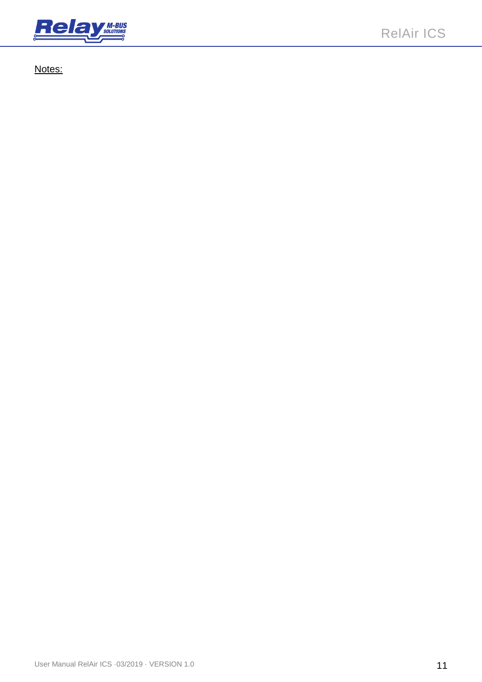

Notes: